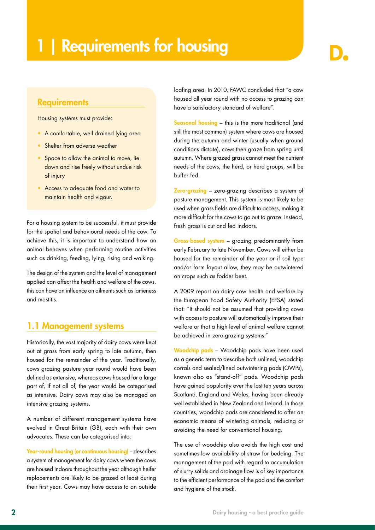# | Requirements for housing

### **Requirements**

Housing systems must provide:

- A comfortable, well drained lying area
- Shelter from adverse weather
- Space to allow the animal to move, lie down and rise freely without undue risk of injury
- Access to adequate food and water to maintain health and vigour.

For a housing system to be successful, it must provide for the spatial and behavioural needs of the cow. To achieve this, it is important to understand how an animal behaves when performing routine activities such as drinking, feeding, lying, rising and walking.

The design of the system and the level of management applied can affect the health and welfare of the cows, this can have an influence on ailments such as lameness and mastitis.

### 1.1 Management systems

Historically, the vast majority of dairy cows were kept out at grass from early spring to late autumn, then housed for the remainder of the year. Traditionally, cows grazing pasture year round would have been defined as extensive, whereas cows housed for a large part of, if not all of, the year would be categorised as intensive. Dairy cows may also be managed on intensive grazing systems.

A number of different management systems have evolved in Great Britain (GB), each with their own advocates. These can be categorised into:

Year-round housing (or continuous housing) – describes a system of management for dairy cows where the cows are housed indoors throughout the year although heifer replacements are likely to be grazed at least during their first year. Cows may have access to an outside loafing area. In 2010, FAWC concluded that "a cow housed all year round with no access to grazing can have a satisfactory standard of welfare".

Seasonal housing – this is the more traditional (and still the most common) system where cows are housed during the autumn and winter (usually when ground conditions dictate), cows then graze from spring until autumn. Where grazed grass cannot meet the nutrient needs of the cows, the herd, or herd groups, will be buffer fed.

Zero-grazing – zero-grazing describes a system of pasture management. This system is most likely to be used when grass fields are difficult to access, making it more difficult for the cows to go out to graze. Instead, fresh grass is cut and fed indoors.

Grass-based system – grazing predominantly from early February to late November. Cows will either be housed for the remainder of the year or if soil type and/or farm layout allow, they may be outwintered on crops such as fodder beet.

A 2009 report on dairy cow health and welfare by the European Food Safety Authority (EFSA) stated that: "It should not be assumed that providing cows with access to pasture will automatically improve their welfare or that a high level of animal welfare cannot be achieved in zero-grazing systems."

Woodchip pads – Woodchip pads have been used as a generic term to describe both unlined, woodchip corrals and sealed/lined outwintering pads (OWPs), known also as "stand-off" pads. Woodchip pads have gained popularity over the last ten years across Scotland, England and Wales, having been already well established in New Zealand and Ireland. In those countries, woodchip pads are considered to offer an economic means of wintering animals, reducing or avoiding the need for conventional housing.

The use of woodchip also avoids the high cost and sometimes low availability of straw for bedding. The management of the pad with regard to accumulation of slurry solids and drainage flow is of key importance to the efficient performance of the pad and the comfort and hygiene of the stock.